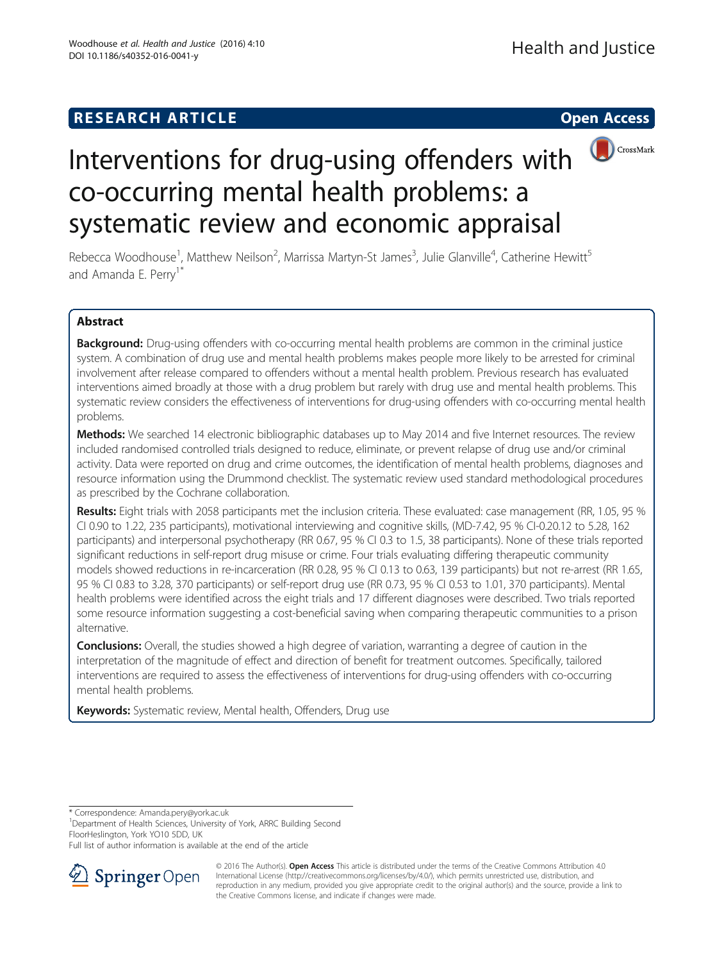# **RESEARCH ARTICLE Example 2014 12:30 The Contract of Contract Contract Contract Contract Contract Contract Contract Contract Contract Contract Contract Contract Contract Contract Contract Contract Contract Contract Contr**





# Interventions for drug-using offenders with co-occurring mental health problems: a systematic review and economic appraisal

Rebecca Woodhouse<sup>1</sup>, Matthew Neilson<sup>2</sup>, Marrissa Martyn-St James<sup>3</sup>, Julie Glanville<sup>4</sup>, Catherine Hewitt<sup>5</sup> and Amanda E. Perry<sup>1\*</sup>

# Abstract

Background: Drug-using offenders with co-occurring mental health problems are common in the criminal justice system. A combination of drug use and mental health problems makes people more likely to be arrested for criminal involvement after release compared to offenders without a mental health problem. Previous research has evaluated interventions aimed broadly at those with a drug problem but rarely with drug use and mental health problems. This systematic review considers the effectiveness of interventions for drug-using offenders with co-occurring mental health problems.

Methods: We searched 14 electronic bibliographic databases up to May 2014 and five Internet resources. The review included randomised controlled trials designed to reduce, eliminate, or prevent relapse of drug use and/or criminal activity. Data were reported on drug and crime outcomes, the identification of mental health problems, diagnoses and resource information using the Drummond checklist. The systematic review used standard methodological procedures as prescribed by the Cochrane collaboration.

Results: Eight trials with 2058 participants met the inclusion criteria. These evaluated: case management (RR, 1.05, 95 % CI 0.90 to 1.22, 235 participants), motivational interviewing and cognitive skills, (MD-7.42, 95 % CI-0.20.12 to 5.28, 162 participants) and interpersonal psychotherapy (RR 0.67, 95 % CI 0.3 to 1.5, 38 participants). None of these trials reported significant reductions in self-report drug misuse or crime. Four trials evaluating differing therapeutic community models showed reductions in re-incarceration (RR 0.28, 95 % CI 0.13 to 0.63, 139 participants) but not re-arrest (RR 1.65, 95 % CI 0.83 to 3.28, 370 participants) or self-report drug use (RR 0.73, 95 % CI 0.53 to 1.01, 370 participants). Mental health problems were identified across the eight trials and 17 different diagnoses were described. Two trials reported some resource information suggesting a cost-beneficial saving when comparing therapeutic communities to a prison alternative.

**Conclusions:** Overall, the studies showed a high degree of variation, warranting a degree of caution in the interpretation of the magnitude of effect and direction of benefit for treatment outcomes. Specifically, tailored interventions are required to assess the effectiveness of interventions for drug-using offenders with co-occurring mental health problems.

Keywords: Systematic review, Mental health, Offenders, Drug use

\* Correspondence: [Amanda.pery@york.ac.uk](mailto:Amanda.pery@york.ac.uk) <sup>1</sup>

<sup>1</sup>Department of Health Sciences, University of York, ARRC Building Second FloorHeslington, York YO10 5DD, UK

Full list of author information is available at the end of the article



<sup>© 2016</sup> The Author(s). Open Access This article is distributed under the terms of the Creative Commons Attribution 4.0 International License ([http://creativecommons.org/licenses/by/4.0/\)](http://creativecommons.org/licenses/by/4.0/), which permits unrestricted use, distribution, and reproduction in any medium, provided you give appropriate credit to the original author(s) and the source, provide a link to the Creative Commons license, and indicate if changes were made.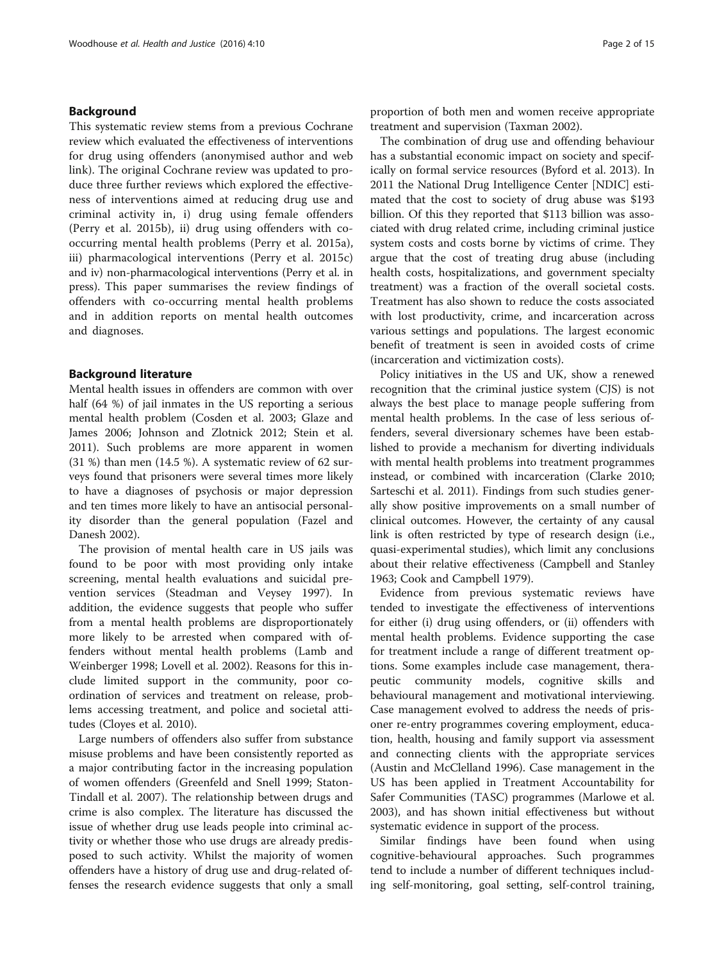# Background

This systematic review stems from a previous Cochrane review which evaluated the effectiveness of interventions for drug using offenders (anonymised author and web link). The original Cochrane review was updated to produce three further reviews which explored the effectiveness of interventions aimed at reducing drug use and criminal activity in, i) drug using female offenders (Perry et al. [2015b\)](#page-13-0), ii) drug using offenders with cooccurring mental health problems (Perry et al. [2015a](#page-13-0)), iii) pharmacological interventions (Perry et al. [2015c](#page-13-0)) and iv) non-pharmacological interventions (Perry et al. [in](#page-13-0) [press](#page-13-0)). This paper summarises the review findings of offenders with co-occurring mental health problems and in addition reports on mental health outcomes and diagnoses.

#### Background literature

Mental health issues in offenders are common with over half (64 %) of jail inmates in the US reporting a serious mental health problem (Cosden et al. [2003](#page-13-0); Glaze and James [2006;](#page-13-0) Johnson and Zlotnick [2012;](#page-13-0) Stein et al. [2011](#page-14-0)). Such problems are more apparent in women (31 %) than men (14.5 %). A systematic review of 62 surveys found that prisoners were several times more likely to have a diagnoses of psychosis or major depression and ten times more likely to have an antisocial personality disorder than the general population (Fazel and Danesh [2002\)](#page-13-0).

The provision of mental health care in US jails was found to be poor with most providing only intake screening, mental health evaluations and suicidal prevention services (Steadman and Veysey [1997\)](#page-14-0). In addition, the evidence suggests that people who suffer from a mental health problems are disproportionately more likely to be arrested when compared with offenders without mental health problems (Lamb and Weinberger [1998;](#page-13-0) Lovell et al. [2002](#page-13-0)). Reasons for this include limited support in the community, poor coordination of services and treatment on release, problems accessing treatment, and police and societal attitudes (Cloyes et al. [2010\)](#page-13-0).

Large numbers of offenders also suffer from substance misuse problems and have been consistently reported as a major contributing factor in the increasing population of women offenders (Greenfeld and Snell [1999](#page-13-0); Staton-Tindall et al. [2007](#page-13-0)). The relationship between drugs and crime is also complex. The literature has discussed the issue of whether drug use leads people into criminal activity or whether those who use drugs are already predisposed to such activity. Whilst the majority of women offenders have a history of drug use and drug-related offenses the research evidence suggests that only a small proportion of both men and women receive appropriate treatment and supervision (Taxman [2002\)](#page-14-0).

The combination of drug use and offending behaviour has a substantial economic impact on society and specifically on formal service resources (Byford et al. [2013](#page-12-0)). In 2011 the National Drug Intelligence Center [NDIC] estimated that the cost to society of drug abuse was \$193 billion. Of this they reported that \$113 billion was associated with drug related crime, including criminal justice system costs and costs borne by victims of crime. They argue that the cost of treating drug abuse (including health costs, hospitalizations, and government specialty treatment) was a fraction of the overall societal costs. Treatment has also shown to reduce the costs associated with lost productivity, crime, and incarceration across various settings and populations. The largest economic benefit of treatment is seen in avoided costs of crime (incarceration and victimization costs).

Policy initiatives in the US and UK, show a renewed recognition that the criminal justice system (CJS) is not always the best place to manage people suffering from mental health problems. In the case of less serious offenders, several diversionary schemes have been established to provide a mechanism for diverting individuals with mental health problems into treatment programmes instead, or combined with incarceration (Clarke [2010](#page-12-0); Sarteschi et al. [2011](#page-13-0)). Findings from such studies generally show positive improvements on a small number of clinical outcomes. However, the certainty of any causal link is often restricted by type of research design (i.e., quasi-experimental studies), which limit any conclusions about their relative effectiveness (Campbell and Stanley [1963](#page-12-0); Cook and Campbell [1979\)](#page-13-0).

Evidence from previous systematic reviews have tended to investigate the effectiveness of interventions for either (i) drug using offenders, or (ii) offenders with mental health problems. Evidence supporting the case for treatment include a range of different treatment options. Some examples include case management, therapeutic community models, cognitive skills and behavioural management and motivational interviewing. Case management evolved to address the needs of prisoner re-entry programmes covering employment, education, health, housing and family support via assessment and connecting clients with the appropriate services (Austin and McClelland [1996\)](#page-12-0). Case management in the US has been applied in Treatment Accountability for Safer Communities (TASC) programmes (Marlowe et al. [2003](#page-13-0)), and has shown initial effectiveness but without systematic evidence in support of the process.

Similar findings have been found when using cognitive-behavioural approaches. Such programmes tend to include a number of different techniques including self-monitoring, goal setting, self-control training,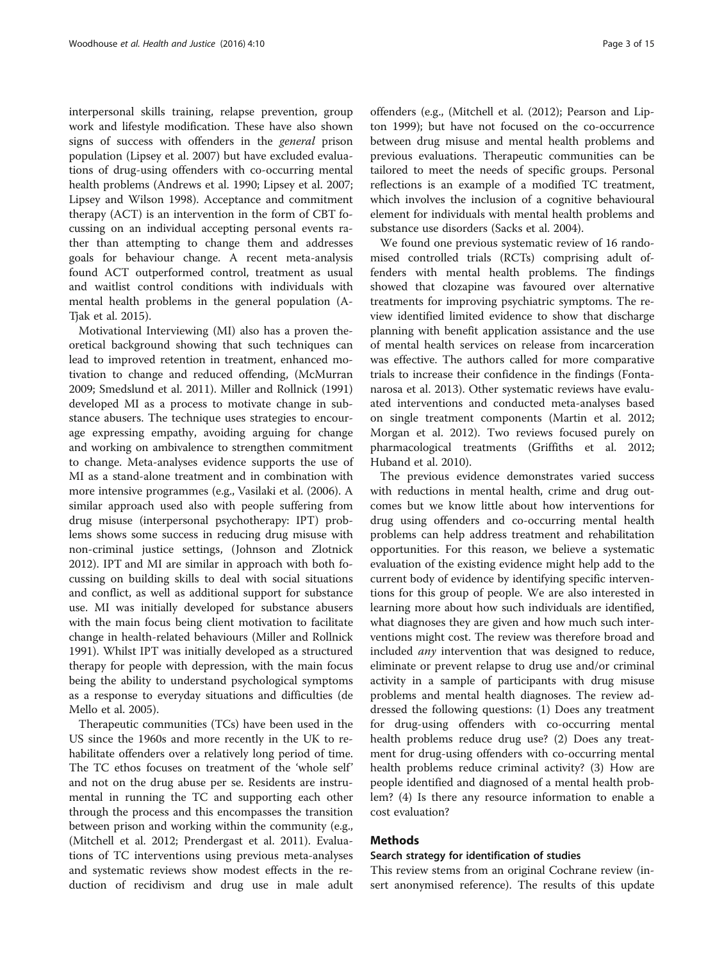interpersonal skills training, relapse prevention, group work and lifestyle modification. These have also shown signs of success with offenders in the general prison population (Lipsey et al. [2007\)](#page-13-0) but have excluded evaluations of drug-using offenders with co-occurring mental health problems (Andrews et al. [1990](#page-12-0); Lipsey et al. [2007](#page-13-0); Lipsey and Wilson [1998](#page-13-0)). Acceptance and commitment therapy (ACT) is an intervention in the form of CBT focussing on an individual accepting personal events rather than attempting to change them and addresses goals for behaviour change. A recent meta-analysis found ACT outperformed control, treatment as usual and waitlist control conditions with individuals with mental health problems in the general population (A-Tjak et al. [2015](#page-12-0)).

Motivational Interviewing (MI) also has a proven theoretical background showing that such techniques can lead to improved retention in treatment, enhanced motivation to change and reduced offending, (McMurran [2009](#page-13-0); Smedslund et al. [2011\)](#page-13-0). Miller and Rollnick ([1991](#page-13-0)) developed MI as a process to motivate change in substance abusers. The technique uses strategies to encourage expressing empathy, avoiding arguing for change and working on ambivalence to strengthen commitment to change. Meta-analyses evidence supports the use of MI as a stand-alone treatment and in combination with more intensive programmes (e.g., Vasilaki et al. ([2006](#page-14-0)). A similar approach used also with people suffering from drug misuse (interpersonal psychotherapy: IPT) problems shows some success in reducing drug misuse with non-criminal justice settings, (Johnson and Zlotnick [2012](#page-13-0)). IPT and MI are similar in approach with both focussing on building skills to deal with social situations and conflict, as well as additional support for substance use. MI was initially developed for substance abusers with the main focus being client motivation to facilitate change in health-related behaviours (Miller and Rollnick [1991](#page-13-0)). Whilst IPT was initially developed as a structured therapy for people with depression, with the main focus being the ability to understand psychological symptoms as a response to everyday situations and difficulties (de Mello et al. [2005\)](#page-13-0).

Therapeutic communities (TCs) have been used in the US since the 1960s and more recently in the UK to rehabilitate offenders over a relatively long period of time. The TC ethos focuses on treatment of the 'whole self' and not on the drug abuse per se. Residents are instrumental in running the TC and supporting each other through the process and this encompasses the transition between prison and working within the community (e.g., (Mitchell et al. [2012](#page-13-0); Prendergast et al. [2011](#page-13-0)). Evaluations of TC interventions using previous meta-analyses and systematic reviews show modest effects in the reduction of recidivism and drug use in male adult

offenders (e.g., (Mitchell et al. ([2012](#page-13-0)); Pearson and Lipton [1999\)](#page-13-0); but have not focused on the co-occurrence between drug misuse and mental health problems and previous evaluations. Therapeutic communities can be tailored to meet the needs of specific groups. Personal reflections is an example of a modified TC treatment, which involves the inclusion of a cognitive behavioural element for individuals with mental health problems and substance use disorders (Sacks et al. [2004](#page-13-0)).

We found one previous systematic review of 16 randomised controlled trials (RCTs) comprising adult offenders with mental health problems. The findings showed that clozapine was favoured over alternative treatments for improving psychiatric symptoms. The review identified limited evidence to show that discharge planning with benefit application assistance and the use of mental health services on release from incarceration was effective. The authors called for more comparative trials to increase their confidence in the findings (Fontanarosa et al. [2013](#page-13-0)). Other systematic reviews have evaluated interventions and conducted meta-analyses based on single treatment components (Martin et al. [2012](#page-13-0); Morgan et al. [2012\)](#page-13-0). Two reviews focused purely on pharmacological treatments (Griffiths et al. [2012](#page-13-0); Huband et al. [2010\)](#page-13-0).

The previous evidence demonstrates varied success with reductions in mental health, crime and drug outcomes but we know little about how interventions for drug using offenders and co-occurring mental health problems can help address treatment and rehabilitation opportunities. For this reason, we believe a systematic evaluation of the existing evidence might help add to the current body of evidence by identifying specific interventions for this group of people. We are also interested in learning more about how such individuals are identified, what diagnoses they are given and how much such interventions might cost. The review was therefore broad and included any intervention that was designed to reduce, eliminate or prevent relapse to drug use and/or criminal activity in a sample of participants with drug misuse problems and mental health diagnoses. The review addressed the following questions: (1) Does any treatment for drug-using offenders with co-occurring mental health problems reduce drug use? (2) Does any treatment for drug-using offenders with co-occurring mental health problems reduce criminal activity? (3) How are people identified and diagnosed of a mental health problem? (4) Is there any resource information to enable a cost evaluation?

# Methods

# Search strategy for identification of studies

This review stems from an original Cochrane review (insert anonymised reference). The results of this update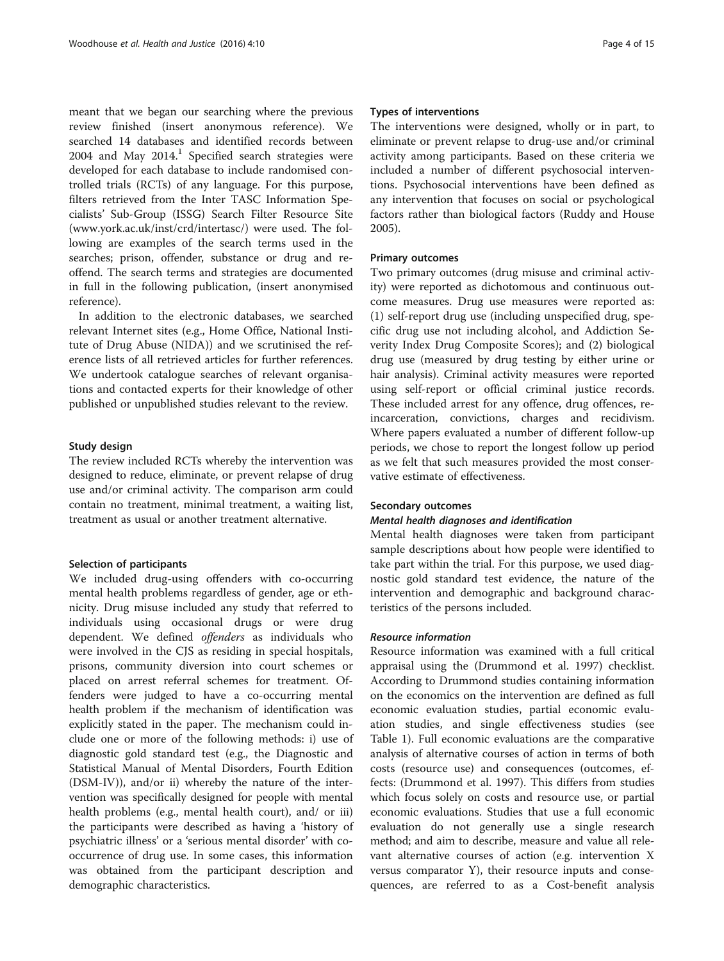meant that we began our searching where the previous review finished (insert anonymous reference). We searched 14 databases and identified records between  $2004$  and May  $2014$ .<sup>1</sup> Specified search strategies were developed for each database to include randomised controlled trials (RCTs) of any language. For this purpose, filters retrieved from the Inter TASC Information Specialists' Sub-Group (ISSG) Search Filter Resource Site ([www.york.ac.uk/inst/crd/intertasc/\)](http://www.york.ac.uk/inst/crd/intertasc/) were used. The following are examples of the search terms used in the searches; prison, offender, substance or drug and reoffend. The search terms and strategies are documented in full in the following publication, (insert anonymised reference).

In addition to the electronic databases, we searched relevant Internet sites (e.g., Home Office, National Institute of Drug Abuse (NIDA)) and we scrutinised the reference lists of all retrieved articles for further references. We undertook catalogue searches of relevant organisations and contacted experts for their knowledge of other published or unpublished studies relevant to the review.

#### Study design

The review included RCTs whereby the intervention was designed to reduce, eliminate, or prevent relapse of drug use and/or criminal activity. The comparison arm could contain no treatment, minimal treatment, a waiting list, treatment as usual or another treatment alternative.

# Selection of participants

We included drug-using offenders with co-occurring mental health problems regardless of gender, age or ethnicity. Drug misuse included any study that referred to individuals using occasional drugs or were drug dependent. We defined offenders as individuals who were involved in the CJS as residing in special hospitals, prisons, community diversion into court schemes or placed on arrest referral schemes for treatment. Offenders were judged to have a co-occurring mental health problem if the mechanism of identification was explicitly stated in the paper. The mechanism could include one or more of the following methods: i) use of diagnostic gold standard test (e.g., the Diagnostic and Statistical Manual of Mental Disorders, Fourth Edition (DSM-IV)), and/or ii) whereby the nature of the intervention was specifically designed for people with mental health problems (e.g., mental health court), and/ or iii) the participants were described as having a 'history of psychiatric illness' or a 'serious mental disorder' with cooccurrence of drug use. In some cases, this information was obtained from the participant description and demographic characteristics.

# Types of interventions

The interventions were designed, wholly or in part, to eliminate or prevent relapse to drug-use and/or criminal activity among participants. Based on these criteria we included a number of different psychosocial interventions. Psychosocial interventions have been defined as any intervention that focuses on social or psychological factors rather than biological factors (Ruddy and House [2005](#page-13-0)).

# Primary outcomes

Two primary outcomes (drug misuse and criminal activity) were reported as dichotomous and continuous outcome measures. Drug use measures were reported as: (1) self-report drug use (including unspecified drug, specific drug use not including alcohol, and Addiction Severity Index Drug Composite Scores); and (2) biological drug use (measured by drug testing by either urine or hair analysis). Criminal activity measures were reported using self-report or official criminal justice records. These included arrest for any offence, drug offences, reincarceration, convictions, charges and recidivism. Where papers evaluated a number of different follow-up periods, we chose to report the longest follow up period as we felt that such measures provided the most conservative estimate of effectiveness.

#### Secondary outcomes

# Mental health diagnoses and identification

Mental health diagnoses were taken from participant sample descriptions about how people were identified to take part within the trial. For this purpose, we used diagnostic gold standard test evidence, the nature of the intervention and demographic and background characteristics of the persons included.

#### Resource information

Resource information was examined with a full critical appraisal using the (Drummond et al. [1997\)](#page-13-0) checklist. According to Drummond studies containing information on the economics on the intervention are defined as full economic evaluation studies, partial economic evaluation studies, and single effectiveness studies (see Table [1](#page-4-0)). Full economic evaluations are the comparative analysis of alternative courses of action in terms of both costs (resource use) and consequences (outcomes, effects: (Drummond et al. [1997\)](#page-13-0). This differs from studies which focus solely on costs and resource use, or partial economic evaluations. Studies that use a full economic evaluation do not generally use a single research method; and aim to describe, measure and value all relevant alternative courses of action (e.g. intervention X versus comparator Y), their resource inputs and consequences, are referred to as a Cost-benefit analysis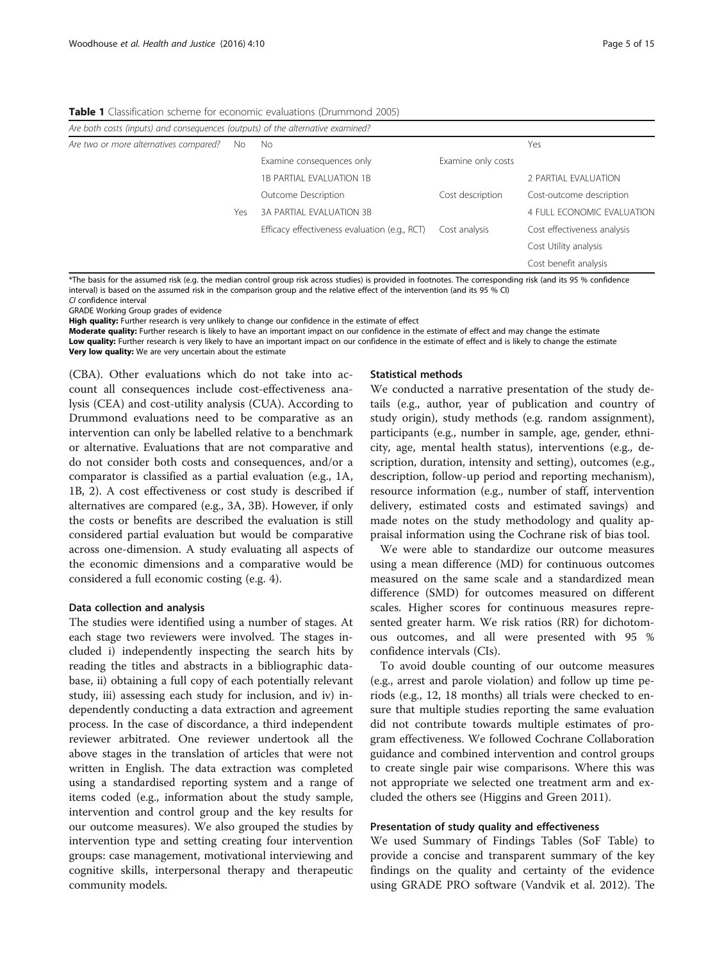<span id="page-4-0"></span>Table 1 Classification scheme for economic evaluations (Drummond 2005)

| Are both costs (inputs) and consequences (outputs) of the alternative examined? |     |                                               |                    |                             |  |
|---------------------------------------------------------------------------------|-----|-----------------------------------------------|--------------------|-----------------------------|--|
| Are two or more alternatives compared?                                          |     | No.                                           |                    | Yes                         |  |
|                                                                                 |     | Examine consequences only                     | Examine only costs |                             |  |
|                                                                                 |     | 1B PARTIAL EVALUATION 1B                      |                    | 2 PARTIAL EVALUATION        |  |
|                                                                                 |     | Outcome Description                           | Cost description   | Cost-outcome description    |  |
|                                                                                 | Yes | 3A PARTIAL EVALUATION 3B                      |                    | 4 FULL ECONOMIC EVALUATION  |  |
|                                                                                 |     | Efficacy effectiveness evaluation (e.g., RCT) | Cost analysis      | Cost effectiveness analysis |  |
|                                                                                 |     |                                               |                    | Cost Utility analysis       |  |
|                                                                                 |     |                                               |                    | Cost benefit analysis       |  |

\*The basis for the assumed risk (e.g. the median control group risk across studies) is provided in footnotes. The corresponding risk (and its 95 % confidence interval) is based on the assumed risk in the comparison group and the relative effect of the intervention (and its 95 % CI) CI confidence interval

GRADE Working Group grades of evidence

High quality: Further research is very unlikely to change our confidence in the estimate of effect

Moderate quality: Further research is likely to have an important impact on our confidence in the estimate of effect and may change the estimate Low quality: Further research is very likely to have an important impact on our confidence in the estimate of effect and is likely to change the estimate Very low quality: We are very uncertain about the estimate

(CBA). Other evaluations which do not take into account all consequences include cost-effectiveness analysis (CEA) and cost-utility analysis (CUA). According to Drummond evaluations need to be comparative as an intervention can only be labelled relative to a benchmark or alternative. Evaluations that are not comparative and do not consider both costs and consequences, and/or a comparator is classified as a partial evaluation (e.g., 1A, 1B, 2). A cost effectiveness or cost study is described if alternatives are compared (e.g., 3A, 3B). However, if only the costs or benefits are described the evaluation is still considered partial evaluation but would be comparative across one-dimension. A study evaluating all aspects of the economic dimensions and a comparative would be considered a full economic costing (e.g. 4).

#### Data collection and analysis

The studies were identified using a number of stages. At each stage two reviewers were involved. The stages included i) independently inspecting the search hits by reading the titles and abstracts in a bibliographic database, ii) obtaining a full copy of each potentially relevant study, iii) assessing each study for inclusion, and iv) independently conducting a data extraction and agreement process. In the case of discordance, a third independent reviewer arbitrated. One reviewer undertook all the above stages in the translation of articles that were not written in English. The data extraction was completed using a standardised reporting system and a range of items coded (e.g., information about the study sample, intervention and control group and the key results for our outcome measures). We also grouped the studies by intervention type and setting creating four intervention groups: case management, motivational interviewing and cognitive skills, interpersonal therapy and therapeutic community models.

#### Statistical methods

We conducted a narrative presentation of the study details (e.g., author, year of publication and country of study origin), study methods (e.g. random assignment), participants (e.g., number in sample, age, gender, ethnicity, age, mental health status), interventions (e.g., description, duration, intensity and setting), outcomes (e.g., description, follow-up period and reporting mechanism), resource information (e.g., number of staff, intervention delivery, estimated costs and estimated savings) and made notes on the study methodology and quality appraisal information using the Cochrane risk of bias tool.

We were able to standardize our outcome measures using a mean difference (MD) for continuous outcomes measured on the same scale and a standardized mean difference (SMD) for outcomes measured on different scales. Higher scores for continuous measures represented greater harm. We risk ratios (RR) for dichotomous outcomes, and all were presented with 95 % confidence intervals (CIs).

To avoid double counting of our outcome measures (e.g., arrest and parole violation) and follow up time periods (e.g., 12, 18 months) all trials were checked to ensure that multiple studies reporting the same evaluation did not contribute towards multiple estimates of program effectiveness. We followed Cochrane Collaboration guidance and combined intervention and control groups to create single pair wise comparisons. Where this was not appropriate we selected one treatment arm and excluded the others see (Higgins and Green [2011\)](#page-13-0).

# Presentation of study quality and effectiveness

We used Summary of Findings Tables (SoF Table) to provide a concise and transparent summary of the key findings on the quality and certainty of the evidence using GRADE PRO software (Vandvik et al. [2012](#page-14-0)). The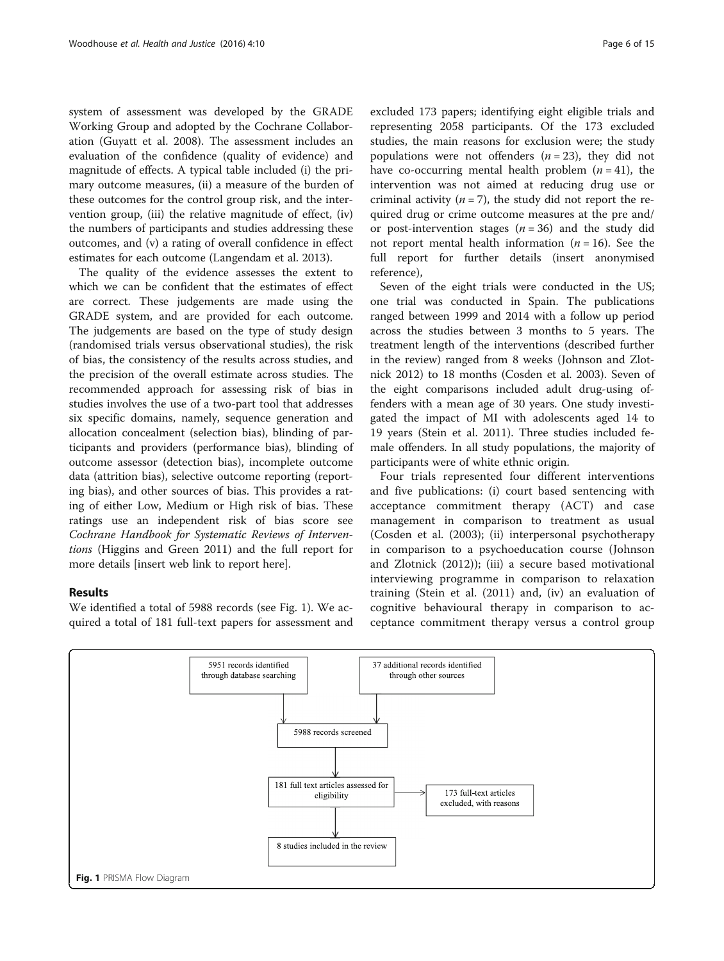system of assessment was developed by the GRADE Working Group and adopted by the Cochrane Collaboration (Guyatt et al. [2008](#page-13-0)). The assessment includes an evaluation of the confidence (quality of evidence) and magnitude of effects. A typical table included (i) the primary outcome measures, (ii) a measure of the burden of these outcomes for the control group risk, and the intervention group, (iii) the relative magnitude of effect, (iv) the numbers of participants and studies addressing these outcomes, and (v) a rating of overall confidence in effect estimates for each outcome (Langendam et al. [2013](#page-13-0)).

The quality of the evidence assesses the extent to which we can be confident that the estimates of effect are correct. These judgements are made using the GRADE system, and are provided for each outcome. The judgements are based on the type of study design (randomised trials versus observational studies), the risk of bias, the consistency of the results across studies, and the precision of the overall estimate across studies. The recommended approach for assessing risk of bias in studies involves the use of a two-part tool that addresses six specific domains, namely, sequence generation and allocation concealment (selection bias), blinding of participants and providers (performance bias), blinding of outcome assessor (detection bias), incomplete outcome data (attrition bias), selective outcome reporting (reporting bias), and other sources of bias. This provides a rating of either Low, Medium or High risk of bias. These ratings use an independent risk of bias score see Cochrane Handbook for Systematic Reviews of Interventions (Higgins and Green [2011\)](#page-13-0) and the full report for more details [insert web link to report here].

# Results

We identified a total of 5988 records (see Fig. 1). We acquired a total of 181 full-text papers for assessment and excluded 173 papers; identifying eight eligible trials and representing 2058 participants. Of the 173 excluded studies, the main reasons for exclusion were; the study populations were not offenders  $(n = 23)$ , they did not have co-occurring mental health problem  $(n = 41)$ , the intervention was not aimed at reducing drug use or criminal activity  $(n = 7)$ , the study did not report the required drug or crime outcome measures at the pre and/ or post-intervention stages  $(n = 36)$  and the study did not report mental health information ( $n = 16$ ). See the full report for further details (insert anonymised reference),

Seven of the eight trials were conducted in the US; one trial was conducted in Spain. The publications ranged between 1999 and 2014 with a follow up period across the studies between 3 months to 5 years. The treatment length of the interventions (described further in the review) ranged from 8 weeks (Johnson and Zlotnick [2012](#page-13-0)) to 18 months (Cosden et al. [2003\)](#page-13-0). Seven of the eight comparisons included adult drug-using offenders with a mean age of 30 years. One study investigated the impact of MI with adolescents aged 14 to 19 years (Stein et al. [2011](#page-14-0)). Three studies included female offenders. In all study populations, the majority of participants were of white ethnic origin.

Four trials represented four different interventions and five publications: (i) court based sentencing with acceptance commitment therapy (ACT) and case management in comparison to treatment as usual (Cosden et al. ([2003\)](#page-13-0); (ii) interpersonal psychotherapy in comparison to a psychoeducation course (Johnson and Zlotnick ([2012\)](#page-13-0)); (iii) a secure based motivational interviewing programme in comparison to relaxation training (Stein et al. [\(2011](#page-14-0)) and, (iv) an evaluation of cognitive behavioural therapy in comparison to acceptance commitment therapy versus a control group

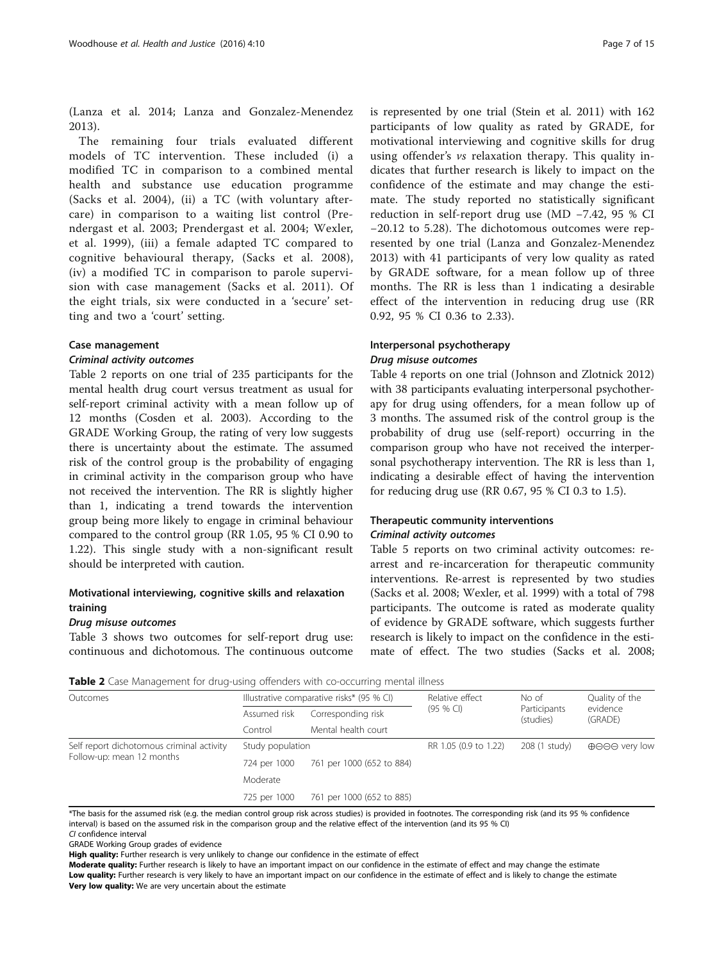(Lanza et al. [2014](#page-13-0); Lanza and Gonzalez-Menendez [2013\)](#page-13-0).

The remaining four trials evaluated different models of TC intervention. These included (i) a modified TC in comparison to a combined mental health and substance use education programme (Sacks et al. [2004\)](#page-13-0), (ii) a TC (with voluntary aftercare) in comparison to a waiting list control (Prendergast et al. [2003;](#page-13-0) Prendergast et al. [2004;](#page-13-0) Wexler, et al. [1999\)](#page-14-0), (iii) a female adapted TC compared to cognitive behavioural therapy, (Sacks et al. [2008](#page-13-0)), (iv) a modified TC in comparison to parole supervision with case management (Sacks et al. [2011\)](#page-13-0). Of the eight trials, six were conducted in a 'secure' setting and two a 'court' setting.

#### Case management

#### Criminal activity outcomes

Table 2 reports on one trial of 235 participants for the mental health drug court versus treatment as usual for self-report criminal activity with a mean follow up of 12 months (Cosden et al. [2003](#page-13-0)). According to the GRADE Working Group, the rating of very low suggests there is uncertainty about the estimate. The assumed risk of the control group is the probability of engaging in criminal activity in the comparison group who have not received the intervention. The RR is slightly higher than 1, indicating a trend towards the intervention group being more likely to engage in criminal behaviour compared to the control group (RR 1.05, 95 % CI 0.90 to 1.22). This single study with a non-significant result should be interpreted with caution.

# Motivational interviewing, cognitive skills and relaxation training

#### Drug misuse outcomes

Table [3](#page-7-0) shows two outcomes for self-report drug use: continuous and dichotomous. The continuous outcome

is represented by one trial (Stein et al. [2011](#page-14-0)) with 162 participants of low quality as rated by GRADE, for motivational interviewing and cognitive skills for drug using offender's vs relaxation therapy. This quality indicates that further research is likely to impact on the confidence of the estimate and may change the estimate. The study reported no statistically significant reduction in self-report drug use (MD −7.42, 95 % CI −20.12 to 5.28). The dichotomous outcomes were represented by one trial (Lanza and Gonzalez-Menendez [2013\)](#page-13-0) with 41 participants of very low quality as rated by GRADE software, for a mean follow up of three months. The RR is less than 1 indicating a desirable effect of the intervention in reducing drug use (RR 0.92, 95 % CI 0.36 to 2.33).

# Interpersonal psychotherapy Drug misuse outcomes

Table [4](#page-7-0) reports on one trial (Johnson and Zlotnick [2012](#page-13-0)) with 38 participants evaluating interpersonal psychotherapy for drug using offenders, for a mean follow up of 3 months. The assumed risk of the control group is the probability of drug use (self-report) occurring in the comparison group who have not received the interpersonal psychotherapy intervention. The RR is less than 1, indicating a desirable effect of having the intervention for reducing drug use (RR 0.67, 95 % CI 0.3 to 1.5).

# Therapeutic community interventions Criminal activity outcomes

Table [5](#page-8-0) reports on two criminal activity outcomes: rearrest and re-incarceration for therapeutic community interventions. Re-arrest is represented by two studies (Sacks et al. [2008;](#page-13-0) Wexler, et al. [1999](#page-14-0)) with a total of 798 participants. The outcome is rated as moderate quality of evidence by GRADE software, which suggests further research is likely to impact on the confidence in the estimate of effect. The two studies (Sacks et al. [2008](#page-13-0);

|  |  | <b>Table 2</b> Case Management for drug-using offenders with co-occurring mental illness |
|--|--|------------------------------------------------------------------------------------------|
|--|--|------------------------------------------------------------------------------------------|

| Outcomes                                                               |                  | Illustrative comparative risks* (95 % CI) | Relative effect       | No of<br>Participants<br>(studies) | Quality of the<br>evidence<br>(GRADE) |
|------------------------------------------------------------------------|------------------|-------------------------------------------|-----------------------|------------------------------------|---------------------------------------|
|                                                                        | Assumed risk     | Corresponding risk                        | $(95%$ CI)            |                                    |                                       |
|                                                                        | Control          | Mental health court                       |                       |                                    |                                       |
| Self report dichotomous criminal activity<br>Follow-up: mean 12 months | Study population |                                           | RR 1.05 (0.9 to 1.22) | 208 (1 study)                      | $\oplus$ $\ominus$ $\ominus$ very low |
|                                                                        | 724 per 1000     | 761 per 1000 (652 to 884)                 |                       |                                    |                                       |
|                                                                        | Moderate         |                                           |                       |                                    |                                       |
|                                                                        | 725 per 1000     | 761 per 1000 (652 to 885)                 |                       |                                    |                                       |

\*The basis for the assumed risk (e.g. the median control group risk across studies) is provided in footnotes. The corresponding risk (and its 95 % confidence interval) is based on the assumed risk in the comparison group and the relative effect of the intervention (and its 95 % CI) CI confidence interval

GRADE Working Group grades of evidence

High quality: Further research is very unlikely to change our confidence in the estimate of effect

Moderate quality: Further research is likely to have an important impact on our confidence in the estimate of effect and may change the estimate Low quality: Further research is very likely to have an important impact on our confidence in the estimate of effect and is likely to change the estimate Very low quality: We are very uncertain about the estimate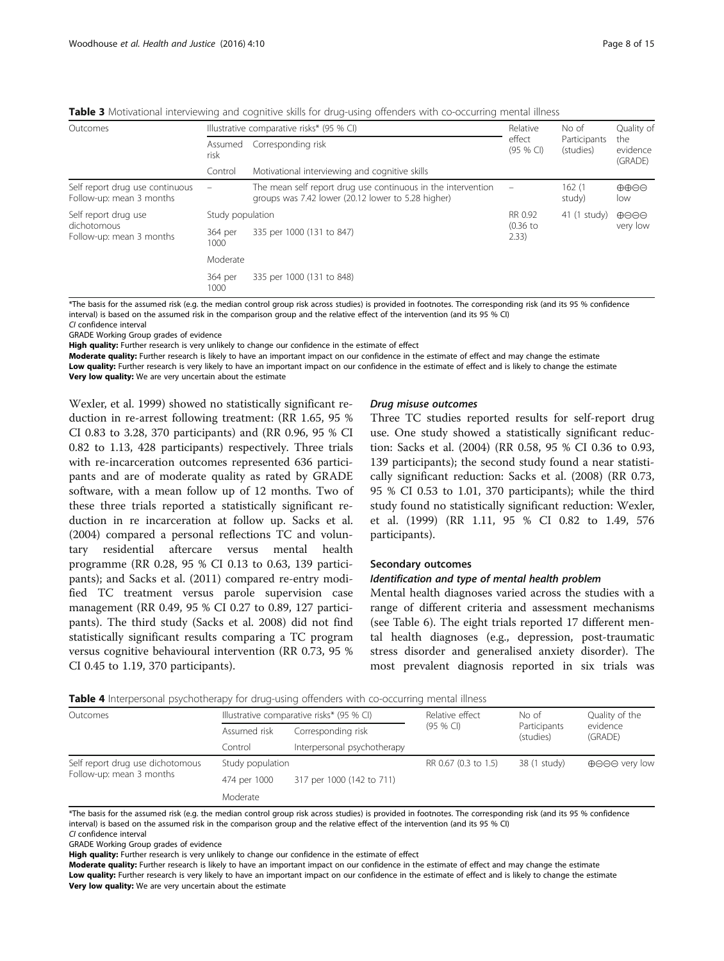| Outcomes                                                        |                          | Illustrative comparative risks* (95 % CI)                                                                          | Relative             | No of                     | Quality of                             |
|-----------------------------------------------------------------|--------------------------|--------------------------------------------------------------------------------------------------------------------|----------------------|---------------------------|----------------------------------------|
|                                                                 | Assumed<br>risk          | effect<br>Corresponding risk<br>$(95%$ CI)<br>Motivational interviewing and cognitive skills                       |                      | Participants<br>(studies) | the<br>evidence<br>(GRADE)             |
|                                                                 | Control                  |                                                                                                                    |                      |                           |                                        |
| Self report drug use continuous<br>Follow-up: mean 3 months     | $\overline{\phantom{m}}$ | The mean self report drug use continuous in the intervention<br>groups was 7.42 lower (20.12 lower to 5.28 higher) | $\qquad \qquad -$    | 162(1)<br>study)          | $\oplus \oplus \ominus \ominus$<br>low |
| Self report drug use<br>dichotomous<br>Follow-up: mean 3 months |                          | Study population                                                                                                   |                      | $41(1$ study)             | $\bigoplus \bigoplus \bigoplus$        |
|                                                                 | 364 per<br>1000          | 335 per 1000 (131 to 847)                                                                                          | $(0.36)$ to<br>2.33) |                           | very low                               |
|                                                                 | Moderate                 |                                                                                                                    |                      |                           |                                        |
|                                                                 | 364 per<br>1000          | 335 per 1000 (131 to 848)                                                                                          |                      |                           |                                        |

<span id="page-7-0"></span>Table 3 Motivational interviewing and cognitive skills for drug-using offenders with co-occurring mental illness

\*The basis for the assumed risk (e.g. the median control group risk across studies) is provided in footnotes. The corresponding risk (and its 95 % confidence interval) is based on the assumed risk in the comparison group and the relative effect of the intervention (and its 95 % CI)

CI confidence interval

GRADE Working Group grades of evidence

High quality: Further research is very unlikely to change our confidence in the estimate of effect

Moderate quality: Further research is likely to have an important impact on our confidence in the estimate of effect and may change the estimate

Low quality: Further research is very likely to have an important impact on our confidence in the estimate of effect and is likely to change the estimate Very low quality: We are very uncertain about the estimate

Wexler, et al. [1999](#page-14-0)) showed no statistically significant reduction in re-arrest following treatment: (RR 1.65, 95 % CI 0.83 to 3.28, 370 participants) and (RR 0.96, 95 % CI 0.82 to 1.13, 428 participants) respectively. Three trials with re-incarceration outcomes represented 636 participants and are of moderate quality as rated by GRADE software, with a mean follow up of 12 months. Two of these three trials reported a statistically significant reduction in re incarceration at follow up. Sacks et al. ([2004](#page-13-0)) compared a personal reflections TC and voluntary residential aftercare versus mental health programme (RR 0.28, 95 % CI 0.13 to 0.63, 139 participants); and Sacks et al. [\(2011\)](#page-13-0) compared re-entry modified TC treatment versus parole supervision case management (RR 0.49, 95 % CI 0.27 to 0.89, 127 participants). The third study (Sacks et al. [2008](#page-13-0)) did not find statistically significant results comparing a TC program versus cognitive behavioural intervention (RR 0.73, 95 % CI 0.45 to 1.19, 370 participants).

# Drug misuse outcomes

Three TC studies reported results for self-report drug use. One study showed a statistically significant reduction: Sacks et al. ([2004](#page-13-0)) (RR 0.58, 95 % CI 0.36 to 0.93, 139 participants); the second study found a near statistically significant reduction: Sacks et al. [\(2008\)](#page-13-0) (RR 0.73, 95 % CI 0.53 to 1.01, 370 participants); while the third study found no statistically significant reduction: Wexler, et al. ([1999](#page-14-0)) (RR 1.11, 95 % CI 0.82 to 1.49, 576 participants).

# Secondary outcomes

#### Identification and type of mental health problem

Mental health diagnoses varied across the studies with a range of different criteria and assessment mechanisms (see Table [6](#page-8-0)). The eight trials reported 17 different mental health diagnoses (e.g., depression, post-traumatic stress disorder and generalised anxiety disorder). The most prevalent diagnosis reported in six trials was

|  | Table 4 Interpersonal psychotherapy for drug-using offenders with co-occurring mental illness |  |  |
|--|-----------------------------------------------------------------------------------------------|--|--|
|  |                                                                                               |  |  |

| Outcomes                                                     |                  | Illustrative comparative risks* (95 % CI) | Relative effect<br>$(95%$ CI) | No of<br>Participants<br>(studies) | Quality of the<br>evidence<br>(GRADE)     |
|--------------------------------------------------------------|------------------|-------------------------------------------|-------------------------------|------------------------------------|-------------------------------------------|
|                                                              | Assumed risk     | Corresponding risk                        |                               |                                    |                                           |
|                                                              | Control          | Interpersonal psychotherapy               |                               |                                    |                                           |
| Self report drug use dichotomous<br>Follow-up: mean 3 months | Study population |                                           | RR 0.67 (0.3 to 1.5)          | 38 (1 study)                       | $\oplus \ominus \ominus \ominus$ very low |
|                                                              | 474 per 1000     | 317 per 1000 (142 to 711)                 |                               |                                    |                                           |
|                                                              | Moderate         |                                           |                               |                                    |                                           |

\*The basis for the assumed risk (e.g. the median control group risk across studies) is provided in footnotes. The corresponding risk (and its 95 % confidence interval) is based on the assumed risk in the comparison group and the relative effect of the intervention (and its 95 % CI) CI confidence interval

GRADE Working Group grades of evidence

High quality: Further research is very unlikely to change our confidence in the estimate of effect

Moderate quality: Further research is likely to have an important impact on our confidence in the estimate of effect and may change the estimate Low quality: Further research is very likely to have an important impact on our confidence in the estimate of effect and is likely to change the estimate Very low quality: We are very uncertain about the estimate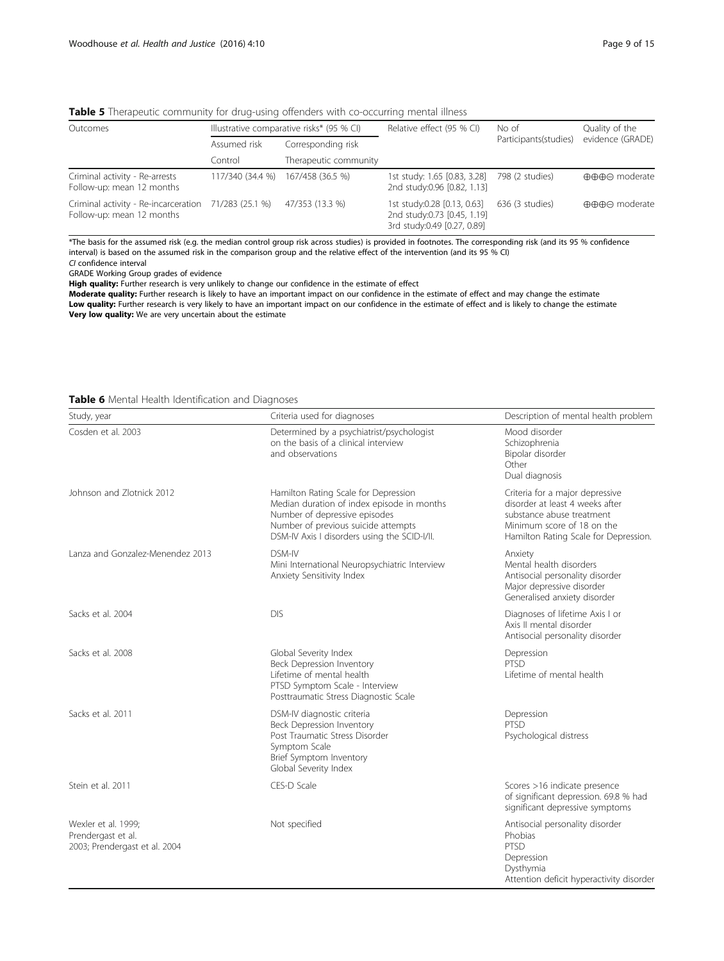<span id="page-8-0"></span>

|  |  | <b>Table 5</b> Therapeutic community for drug-using offenders with co-occurring mental illness |  |
|--|--|------------------------------------------------------------------------------------------------|--|
|  |  |                                                                                                |  |

| Outcomes                                                                          |                  | Illustrative comparative risks* (95 % CI) | Relative effect (95 % CI)                                                                 | No of<br>Participants(studies) | Quality of the<br>evidence (GRADE) |
|-----------------------------------------------------------------------------------|------------------|-------------------------------------------|-------------------------------------------------------------------------------------------|--------------------------------|------------------------------------|
|                                                                                   | Assumed risk     | Corresponding risk                        |                                                                                           |                                |                                    |
|                                                                                   | Control          | Therapeutic community                     |                                                                                           |                                |                                    |
| Criminal activity - Re-arrests<br>Follow-up: mean 12 months                       | 117/340 (34.4 %) | 167/458 (36.5 %)                          | 1st study: 1.65 [0.83, 3.28]<br>2nd study:0.96 [0.82, 1.13]                               | 798 (2 studies)                | ⊕⊕⊕⊝ moderate                      |
| Criminal activity - Re-incarceration 71/283 (25.1 %)<br>Follow-up: mean 12 months |                  | 47/353 (13.3 %)                           | 1st study:0.28 [0.13, 0.63]<br>2nd study:0.73 [0.45, 1.19]<br>3rd study:0.49 [0.27, 0.89] | 636 (3 studies)                | ⊕⊕⊕⊝ moderate                      |

\*The basis for the assumed risk (e.g. the median control group risk across studies) is provided in footnotes. The corresponding risk (and its 95 % confidence interval) is based on the assumed risk in the comparison group and the relative effect of the intervention (and its 95 % CI) CI confidence interval

GRADE Working Group grades of evidence

High quality: Further research is very unlikely to change our confidence in the estimate of effect

Moderate quality: Further research is likely to have an important impact on our confidence in the estimate of effect and may change the estimate Low quality: Further research is very likely to have an important impact on our confidence in the estimate of effect and is likely to change the estimate Very low quality: We are very uncertain about the estimate

| Table 6 Mental Health Identification and Diagnoses |  |
|----------------------------------------------------|--|
|----------------------------------------------------|--|

| Study, year                                                                | Criteria used for diagnoses                                                                                                                                                                                | Description of mental health problem                                                                                                                                   |  |
|----------------------------------------------------------------------------|------------------------------------------------------------------------------------------------------------------------------------------------------------------------------------------------------------|------------------------------------------------------------------------------------------------------------------------------------------------------------------------|--|
| Cosden et al. 2003                                                         | Determined by a psychiatrist/psychologist<br>on the basis of a clinical interview<br>and observations                                                                                                      | Mood disorder<br>Schizophrenia<br>Bipolar disorder<br>Other<br>Dual diagnosis                                                                                          |  |
| Johnson and Zlotnick 2012                                                  | Hamilton Rating Scale for Depression<br>Median duration of index episode in months<br>Number of depressive episodes<br>Number of previous suicide attempts<br>DSM-IV Axis I disorders using the SCID-I/II. | Criteria for a major depressive<br>disorder at least 4 weeks after<br>substance abuse treatment<br>Minimum score of 18 on the<br>Hamilton Rating Scale for Depression. |  |
| Lanza and Gonzalez-Menendez 2013                                           | DSM-IV<br>Mini International Neuropsychiatric Interview<br>Anxiety Sensitivity Index                                                                                                                       | Anxiety<br>Mental health disorders<br>Antisocial personality disorder<br>Major depressive disorder<br>Generalised anxiety disorder                                     |  |
| Sacks et al. 2004                                                          | <b>DIS</b>                                                                                                                                                                                                 | Diagnoses of lifetime Axis I or<br>Axis II mental disorder<br>Antisocial personality disorder                                                                          |  |
| Sacks et al. 2008                                                          | Global Severity Index<br>Beck Depression Inventory<br>Lifetime of mental health<br>PTSD Symptom Scale - Interview<br>Posttraumatic Stress Diagnostic Scale                                                 | Depression<br>PTSD<br>Lifetime of mental health                                                                                                                        |  |
| Sacks et al. 2011                                                          | DSM-IV diagnostic criteria<br>Beck Depression Inventory<br>Post Traumatic Stress Disorder<br>Symptom Scale<br>Brief Symptom Inventory<br>Global Severity Index                                             | Depression<br><b>PTSD</b><br>Psychological distress                                                                                                                    |  |
| Stein et al. 2011                                                          | CES-D Scale                                                                                                                                                                                                | Scores >16 indicate presence<br>of significant depression. 69.8 % had<br>significant depressive symptoms                                                               |  |
| Wexler et al. 1999;<br>Prendergast et al.<br>2003; Prendergast et al. 2004 | Not specified                                                                                                                                                                                              | Antisocial personality disorder<br>Phobias<br>PTSD<br>Depression<br>Dysthymia<br>Attention deficit hyperactivity disorder                                              |  |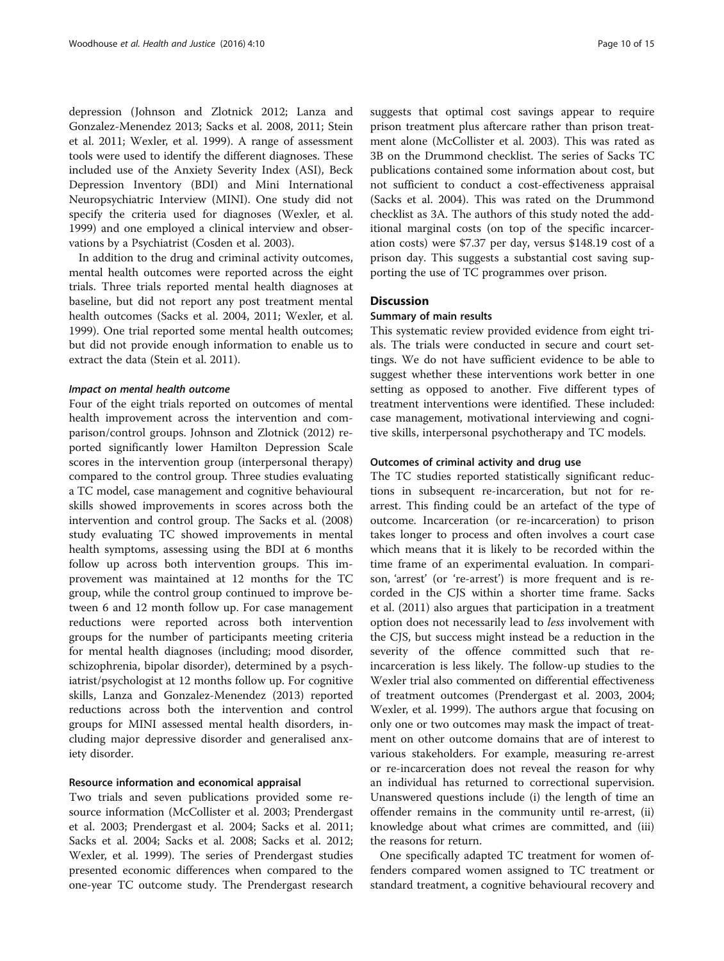depression (Johnson and Zlotnick [2012;](#page-13-0) Lanza and Gonzalez-Menendez [2013;](#page-13-0) Sacks et al. [2008](#page-13-0), [2011](#page-13-0); Stein et al. [2011;](#page-14-0) Wexler, et al. [1999\)](#page-14-0). A range of assessment tools were used to identify the different diagnoses. These included use of the Anxiety Severity Index (ASI), Beck Depression Inventory (BDI) and Mini International Neuropsychiatric Interview (MINI). One study did not specify the criteria used for diagnoses (Wexler, et al. [1999](#page-14-0)) and one employed a clinical interview and observations by a Psychiatrist (Cosden et al. [2003\)](#page-13-0).

In addition to the drug and criminal activity outcomes, mental health outcomes were reported across the eight trials. Three trials reported mental health diagnoses at baseline, but did not report any post treatment mental health outcomes (Sacks et al. [2004](#page-13-0), [2011;](#page-13-0) Wexler, et al. [1999](#page-14-0)). One trial reported some mental health outcomes; but did not provide enough information to enable us to extract the data (Stein et al. [2011](#page-14-0)).

# Impact on mental health outcome

Four of the eight trials reported on outcomes of mental health improvement across the intervention and comparison/control groups. Johnson and Zlotnick ([2012](#page-13-0)) reported significantly lower Hamilton Depression Scale scores in the intervention group (interpersonal therapy) compared to the control group. Three studies evaluating a TC model, case management and cognitive behavioural skills showed improvements in scores across both the intervention and control group. The Sacks et al. ([2008](#page-13-0)) study evaluating TC showed improvements in mental health symptoms, assessing using the BDI at 6 months follow up across both intervention groups. This improvement was maintained at 12 months for the TC group, while the control group continued to improve between 6 and 12 month follow up. For case management reductions were reported across both intervention groups for the number of participants meeting criteria for mental health diagnoses (including; mood disorder, schizophrenia, bipolar disorder), determined by a psychiatrist/psychologist at 12 months follow up. For cognitive skills, Lanza and Gonzalez-Menendez [\(2013](#page-13-0)) reported reductions across both the intervention and control groups for MINI assessed mental health disorders, including major depressive disorder and generalised anxiety disorder.

# Resource information and economical appraisal

Two trials and seven publications provided some resource information (McCollister et al. [2003](#page-13-0); Prendergast et al. [2003;](#page-13-0) Prendergast et al. [2004](#page-13-0); Sacks et al. [2011](#page-13-0); Sacks et al. [2004](#page-13-0); Sacks et al. [2008;](#page-13-0) Sacks et al. [2012](#page-13-0); Wexler, et al. [1999](#page-14-0)). The series of Prendergast studies presented economic differences when compared to the one-year TC outcome study. The Prendergast research suggests that optimal cost savings appear to require prison treatment plus aftercare rather than prison treatment alone (McCollister et al. [2003](#page-13-0)). This was rated as 3B on the Drummond checklist. The series of Sacks TC publications contained some information about cost, but not sufficient to conduct a cost-effectiveness appraisal (Sacks et al. [2004](#page-13-0)). This was rated on the Drummond checklist as 3A. The authors of this study noted the additional marginal costs (on top of the specific incarceration costs) were \$7.37 per day, versus \$148.19 cost of a prison day. This suggests a substantial cost saving supporting the use of TC programmes over prison.

# **Discussion**

#### Summary of main results

This systematic review provided evidence from eight trials. The trials were conducted in secure and court settings. We do not have sufficient evidence to be able to suggest whether these interventions work better in one setting as opposed to another. Five different types of treatment interventions were identified. These included: case management, motivational interviewing and cognitive skills, interpersonal psychotherapy and TC models.

#### Outcomes of criminal activity and drug use

The TC studies reported statistically significant reductions in subsequent re-incarceration, but not for rearrest. This finding could be an artefact of the type of outcome. Incarceration (or re-incarceration) to prison takes longer to process and often involves a court case which means that it is likely to be recorded within the time frame of an experimental evaluation. In comparison, 'arrest' (or 're-arrest') is more frequent and is recorded in the CJS within a shorter time frame. Sacks et al. ([2011\)](#page-13-0) also argues that participation in a treatment option does not necessarily lead to less involvement with the CJS, but success might instead be a reduction in the severity of the offence committed such that reincarceration is less likely. The follow-up studies to the Wexler trial also commented on differential effectiveness of treatment outcomes (Prendergast et al. [2003, 2004](#page-13-0); Wexler, et al. [1999\)](#page-14-0). The authors argue that focusing on only one or two outcomes may mask the impact of treatment on other outcome domains that are of interest to various stakeholders. For example, measuring re-arrest or re-incarceration does not reveal the reason for why an individual has returned to correctional supervision. Unanswered questions include (i) the length of time an offender remains in the community until re-arrest, (ii) knowledge about what crimes are committed, and (iii) the reasons for return.

One specifically adapted TC treatment for women offenders compared women assigned to TC treatment or standard treatment, a cognitive behavioural recovery and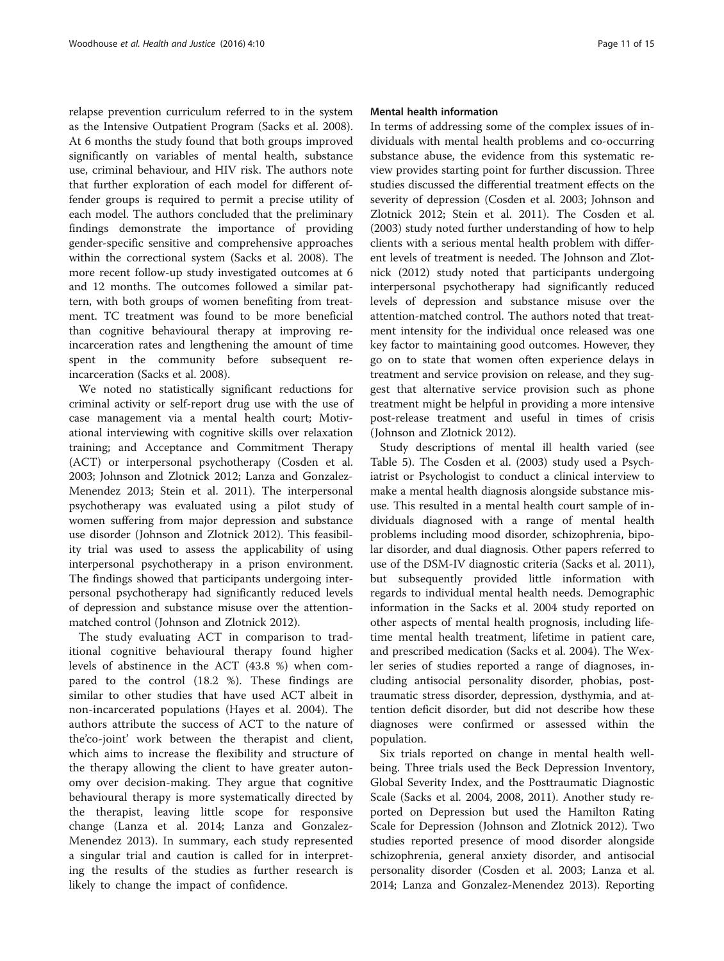relapse prevention curriculum referred to in the system as the Intensive Outpatient Program (Sacks et al. [2008](#page-13-0)). At 6 months the study found that both groups improved significantly on variables of mental health, substance use, criminal behaviour, and HIV risk. The authors note that further exploration of each model for different offender groups is required to permit a precise utility of each model. The authors concluded that the preliminary findings demonstrate the importance of providing gender-specific sensitive and comprehensive approaches within the correctional system (Sacks et al. [2008\)](#page-13-0). The more recent follow-up study investigated outcomes at 6 and 12 months. The outcomes followed a similar pattern, with both groups of women benefiting from treatment. TC treatment was found to be more beneficial than cognitive behavioural therapy at improving reincarceration rates and lengthening the amount of time spent in the community before subsequent reincarceration (Sacks et al. [2008](#page-13-0)).

We noted no statistically significant reductions for criminal activity or self-report drug use with the use of case management via a mental health court; Motivational interviewing with cognitive skills over relaxation training; and Acceptance and Commitment Therapy (ACT) or interpersonal psychotherapy (Cosden et al. [2003](#page-13-0); Johnson and Zlotnick [2012](#page-13-0); Lanza and Gonzalez-Menendez [2013](#page-13-0); Stein et al. [2011\)](#page-14-0). The interpersonal psychotherapy was evaluated using a pilot study of women suffering from major depression and substance use disorder (Johnson and Zlotnick [2012\)](#page-13-0). This feasibility trial was used to assess the applicability of using interpersonal psychotherapy in a prison environment. The findings showed that participants undergoing interpersonal psychotherapy had significantly reduced levels of depression and substance misuse over the attentionmatched control (Johnson and Zlotnick [2012\)](#page-13-0).

The study evaluating ACT in comparison to traditional cognitive behavioural therapy found higher levels of abstinence in the ACT (43.8 %) when compared to the control (18.2 %). These findings are similar to other studies that have used ACT albeit in non-incarcerated populations (Hayes et al. [2004](#page-13-0)). The authors attribute the success of ACT to the nature of the'co-joint' work between the therapist and client, which aims to increase the flexibility and structure of the therapy allowing the client to have greater autonomy over decision-making. They argue that cognitive behavioural therapy is more systematically directed by the therapist, leaving little scope for responsive change (Lanza et al. [2014](#page-13-0); Lanza and Gonzalez-Menendez [2013](#page-13-0)). In summary, each study represented a singular trial and caution is called for in interpreting the results of the studies as further research is likely to change the impact of confidence.

# Mental health information

In terms of addressing some of the complex issues of individuals with mental health problems and co-occurring substance abuse, the evidence from this systematic review provides starting point for further discussion. Three studies discussed the differential treatment effects on the severity of depression (Cosden et al. [2003](#page-13-0); Johnson and Zlotnick [2012](#page-13-0); Stein et al. [2011\)](#page-14-0). The Cosden et al. ([2003\)](#page-13-0) study noted further understanding of how to help clients with a serious mental health problem with different levels of treatment is needed. The Johnson and Zlotnick ([2012\)](#page-13-0) study noted that participants undergoing interpersonal psychotherapy had significantly reduced levels of depression and substance misuse over the attention-matched control. The authors noted that treatment intensity for the individual once released was one key factor to maintaining good outcomes. However, they go on to state that women often experience delays in treatment and service provision on release, and they suggest that alternative service provision such as phone treatment might be helpful in providing a more intensive post-release treatment and useful in times of crisis (Johnson and Zlotnick [2012](#page-13-0)).

Study descriptions of mental ill health varied (see Table [5\)](#page-8-0). The Cosden et al. ([2003](#page-13-0)) study used a Psychiatrist or Psychologist to conduct a clinical interview to make a mental health diagnosis alongside substance misuse. This resulted in a mental health court sample of individuals diagnosed with a range of mental health problems including mood disorder, schizophrenia, bipolar disorder, and dual diagnosis. Other papers referred to use of the DSM-IV diagnostic criteria (Sacks et al. [2011](#page-13-0)), but subsequently provided little information with regards to individual mental health needs. Demographic information in the Sacks et al. [2004](#page-13-0) study reported on other aspects of mental health prognosis, including lifetime mental health treatment, lifetime in patient care, and prescribed medication (Sacks et al. [2004](#page-13-0)). The Wexler series of studies reported a range of diagnoses, including antisocial personality disorder, phobias, posttraumatic stress disorder, depression, dysthymia, and attention deficit disorder, but did not describe how these diagnoses were confirmed or assessed within the population.

Six trials reported on change in mental health wellbeing. Three trials used the Beck Depression Inventory, Global Severity Index, and the Posttraumatic Diagnostic Scale (Sacks et al. [2004, 2008, 2011](#page-13-0)). Another study reported on Depression but used the Hamilton Rating Scale for Depression (Johnson and Zlotnick [2012](#page-13-0)). Two studies reported presence of mood disorder alongside schizophrenia, general anxiety disorder, and antisocial personality disorder (Cosden et al. [2003;](#page-13-0) Lanza et al. [2014](#page-13-0); Lanza and Gonzalez-Menendez [2013](#page-13-0)). Reporting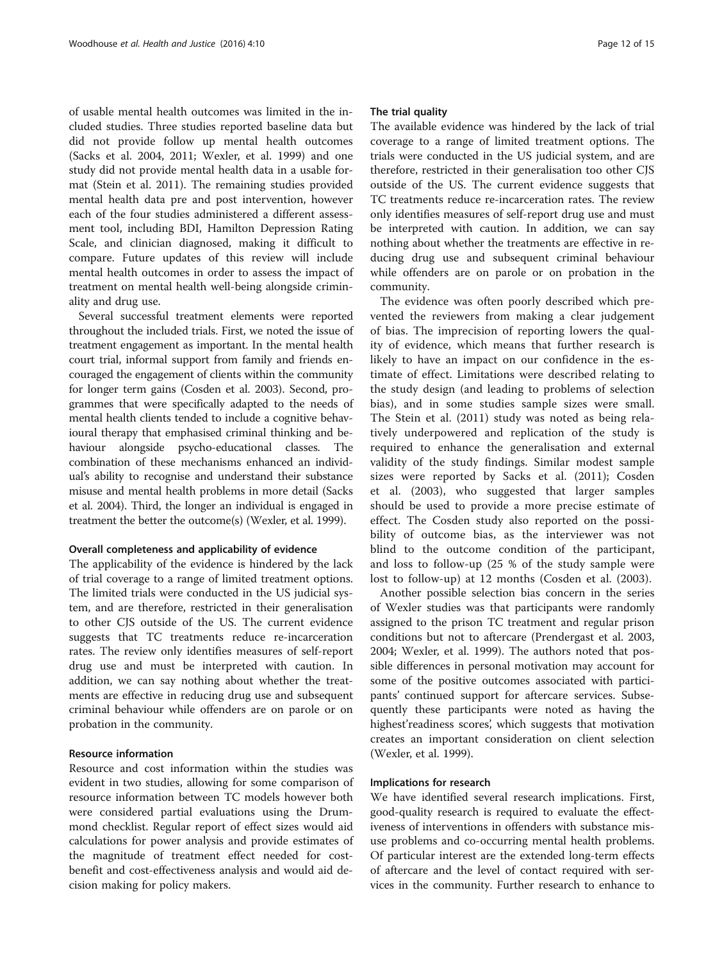of usable mental health outcomes was limited in the included studies. Three studies reported baseline data but did not provide follow up mental health outcomes (Sacks et al. [2004, 2011](#page-13-0); Wexler, et al. [1999\)](#page-14-0) and one study did not provide mental health data in a usable format (Stein et al. [2011](#page-14-0)). The remaining studies provided mental health data pre and post intervention, however each of the four studies administered a different assessment tool, including BDI, Hamilton Depression Rating Scale, and clinician diagnosed, making it difficult to compare. Future updates of this review will include mental health outcomes in order to assess the impact of treatment on mental health well-being alongside criminality and drug use.

Several successful treatment elements were reported throughout the included trials. First, we noted the issue of treatment engagement as important. In the mental health court trial, informal support from family and friends encouraged the engagement of clients within the community for longer term gains (Cosden et al. [2003](#page-13-0)). Second, programmes that were specifically adapted to the needs of mental health clients tended to include a cognitive behavioural therapy that emphasised criminal thinking and behaviour alongside psycho-educational classes. The combination of these mechanisms enhanced an individual's ability to recognise and understand their substance misuse and mental health problems in more detail (Sacks et al. [2004](#page-13-0)). Third, the longer an individual is engaged in treatment the better the outcome(s) (Wexler, et al. [1999\)](#page-14-0).

# Overall completeness and applicability of evidence

The applicability of the evidence is hindered by the lack of trial coverage to a range of limited treatment options. The limited trials were conducted in the US judicial system, and are therefore, restricted in their generalisation to other CJS outside of the US. The current evidence suggests that TC treatments reduce re-incarceration rates. The review only identifies measures of self-report drug use and must be interpreted with caution. In addition, we can say nothing about whether the treatments are effective in reducing drug use and subsequent criminal behaviour while offenders are on parole or on probation in the community.

# Resource information

Resource and cost information within the studies was evident in two studies, allowing for some comparison of resource information between TC models however both were considered partial evaluations using the Drummond checklist. Regular report of effect sizes would aid calculations for power analysis and provide estimates of the magnitude of treatment effect needed for costbenefit and cost-effectiveness analysis and would aid decision making for policy makers.

#### The trial quality

The available evidence was hindered by the lack of trial coverage to a range of limited treatment options. The trials were conducted in the US judicial system, and are therefore, restricted in their generalisation too other CJS outside of the US. The current evidence suggests that TC treatments reduce re-incarceration rates. The review only identifies measures of self-report drug use and must be interpreted with caution. In addition, we can say nothing about whether the treatments are effective in reducing drug use and subsequent criminal behaviour while offenders are on parole or on probation in the community.

The evidence was often poorly described which prevented the reviewers from making a clear judgement of bias. The imprecision of reporting lowers the quality of evidence, which means that further research is likely to have an impact on our confidence in the estimate of effect. Limitations were described relating to the study design (and leading to problems of selection bias), and in some studies sample sizes were small. The Stein et al. ([2011](#page-14-0)) study was noted as being relatively underpowered and replication of the study is required to enhance the generalisation and external validity of the study findings. Similar modest sample sizes were reported by Sacks et al. ([2011\)](#page-13-0); Cosden et al. [\(2003](#page-13-0)), who suggested that larger samples should be used to provide a more precise estimate of effect. The Cosden study also reported on the possibility of outcome bias, as the interviewer was not blind to the outcome condition of the participant, and loss to follow-up (25 % of the study sample were lost to follow-up) at 12 months (Cosden et al. ([2003\)](#page-13-0).

Another possible selection bias concern in the series of Wexler studies was that participants were randomly assigned to the prison TC treatment and regular prison conditions but not to aftercare (Prendergast et al. [2003](#page-13-0), [2004](#page-13-0); Wexler, et al. [1999\)](#page-14-0). The authors noted that possible differences in personal motivation may account for some of the positive outcomes associated with participants' continued support for aftercare services. Subsequently these participants were noted as having the highest'readiness scores', which suggests that motivation creates an important consideration on client selection (Wexler, et al. [1999](#page-14-0)).

# Implications for research

We have identified several research implications. First, good-quality research is required to evaluate the effectiveness of interventions in offenders with substance misuse problems and co-occurring mental health problems. Of particular interest are the extended long-term effects of aftercare and the level of contact required with services in the community. Further research to enhance to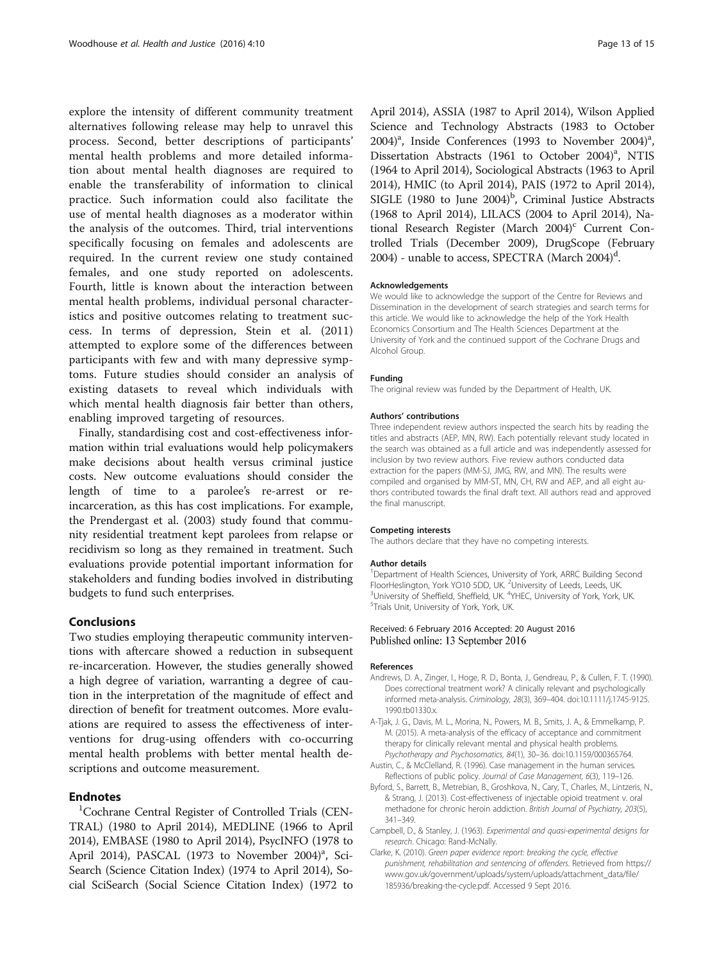<span id="page-12-0"></span>explore the intensity of different community treatment alternatives following release may help to unravel this process. Second, better descriptions of participants' mental health problems and more detailed information about mental health diagnoses are required to enable the transferability of information to clinical practice. Such information could also facilitate the use of mental health diagnoses as a moderator within the analysis of the outcomes. Third, trial interventions specifically focusing on females and adolescents are required. In the current review one study contained females, and one study reported on adolescents. Fourth, little is known about the interaction between mental health problems, individual personal characteristics and positive outcomes relating to treatment success. In terms of depression, Stein et al. [\(2011](#page-14-0)) attempted to explore some of the differences between participants with few and with many depressive symptoms. Future studies should consider an analysis of existing datasets to reveal which individuals with which mental health diagnosis fair better than others, enabling improved targeting of resources.

Finally, standardising cost and cost-effectiveness information within trial evaluations would help policymakers make decisions about health versus criminal justice costs. New outcome evaluations should consider the length of time to a parolee's re-arrest or reincarceration, as this has cost implications. For example, the Prendergast et al. [\(2003](#page-13-0)) study found that community residential treatment kept parolees from relapse or recidivism so long as they remained in treatment. Such evaluations provide potential important information for stakeholders and funding bodies involved in distributing budgets to fund such enterprises.

# Conclusions

Two studies employing therapeutic community interventions with aftercare showed a reduction in subsequent re-incarceration. However, the studies generally showed a high degree of variation, warranting a degree of caution in the interpretation of the magnitude of effect and direction of benefit for treatment outcomes. More evaluations are required to assess the effectiveness of interventions for drug-using offenders with co-occurring mental health problems with better mental health descriptions and outcome measurement.

# **Endnotes**

Cochrane Central Register of Controlled Trials (CEN-TRAL) (1980 to April 2014), MEDLINE (1966 to April 2014), EMBASE (1980 to April 2014), PsycINFO (1978 to April 2014), PASCAL (1973 to November 2004)<sup>a</sup>, Sci-Search (Science Citation Index) (1974 to April 2014), Social SciSearch (Social Science Citation Index) (1972 to April 2014), ASSIA (1987 to April 2014), Wilson Applied Science and Technology Abstracts (1983 to October 2004)<sup>a</sup>, Inside Conferences (1993 to November 2004)<sup>a</sup>, Dissertation Abstracts (1961 to October 2004)<sup>a</sup>, NTIS (1964 to April 2014), Sociological Abstracts (1963 to April 2014), HMIC (to April 2014), PAIS (1972 to April 2014), SIGLE (1980 to June  $2004$ <sup>b</sup>, Criminal Justice Abstracts (1968 to April 2014), LILACS (2004 to April 2014), National Research Register (March  $2004$ )<sup>c</sup> Current Controlled Trials (December 2009), DrugScope (February 2004) - unable to access, SPECTRA (March 2004)<sup>d</sup>.

#### Acknowledgements

We would like to acknowledge the support of the Centre for Reviews and Dissemination in the development of search strategies and search terms for this article. We would like to acknowledge the help of the York Health Economics Consortium and The Health Sciences Department at the University of York and the continued support of the Cochrane Drugs and Alcohol Group.

#### Funding

The original review was funded by the Department of Health, UK.

#### Authors' contributions

Three independent review authors inspected the search hits by reading the titles and abstracts (AEP, MN, RW). Each potentially relevant study located in the search was obtained as a full article and was independently assessed for inclusion by two review authors. Five review authors conducted data extraction for the papers (MM-SJ, JMG, RW, and MN). The results were compiled and organised by MM-ST, MN, CH, RW and AEP, and all eight authors contributed towards the final draft text. All authors read and approved the final manuscript.

#### Competing interests

The authors declare that they have no competing interests.

#### Author details

<sup>1</sup>Department of Health Sciences, University of York, ARRC Building Second FloorHeslington, York YO10 5DD, UK. <sup>2</sup>University of Leeds, Leeds, UK.<br><sup>3</sup>University of Shoffield, Shoffield, UK. <sup>4</sup>YHEC, University of York, York.  $10^3$ University of Sheffield, Sheffield, UK.  $4$ YHEC, University of York, York, UK.<br><sup>5</sup>Trials Unit, University of York, York, UK. <sup>5</sup>Trials Unit, University of York, York, UK.

#### Received: 6 February 2016 Accepted: 20 August 2016 Published online: 13 September 2016

#### References

- Andrews, D. A., Zinger, I., Hoge, R. D., Bonta, J., Gendreau, P., & Cullen, F. T. (1990). Does correctional treatment work? A clinically relevant and psychologically informed meta-analysis. Criminology, 28(3), 369–404. doi[:10.1111/j.1745-9125.](http://dx.doi.org/10.1111/j.1745-9125.1990.tb01330.x) [1990.tb01330.x.](http://dx.doi.org/10.1111/j.1745-9125.1990.tb01330.x)
- A-Tjak, J. G., Davis, M. L., Morina, N., Powers, M. B., Smits, J. A., & Emmelkamp, P. M. (2015). A meta-analysis of the efficacy of acceptance and commitment therapy for clinically relevant mental and physical health problems. Psychotherapy and Psychosomatics, 84(1), 30–36. doi:[10.1159/000365764.](http://dx.doi.org/10.1159/000365764)
- Austin, C., & McClelland, R. (1996). Case management in the human services. Reflections of public policy. Journal of Case Management, 6(3), 119–126.
- Byford, S., Barrett, B., Metrebian, B., Groshkova, N., Cary, T., Charles, M., Lintzeris, N., & Strang, J. (2013). Cost-effectiveness of injectable opioid treatment v. oral methadone for chronic heroin addiction. British Journal of Psychiatry, 203(5), 341–349.
- Campbell, D., & Stanley, J. (1963). Experimental and quasi-experimental designs for research. Chicago: Rand-McNally.
- Clarke, K. (2010). Green paper evidence report: breaking the cycle, effective punishment, rehabilitation and sentencing of offenders. Retrieved from [https://](https://www.gov.uk/government/uploads/system/uploads/attachment_data/file/185936/breaking-the-cycle.pdf) [www.gov.uk/government/uploads/system/uploads/attachment\\_data/file/](https://www.gov.uk/government/uploads/system/uploads/attachment_data/file/185936/breaking-the-cycle.pdf) [185936/breaking-the-cycle.pdf.](https://www.gov.uk/government/uploads/system/uploads/attachment_data/file/185936/breaking-the-cycle.pdf) Accessed 9 Sept 2016.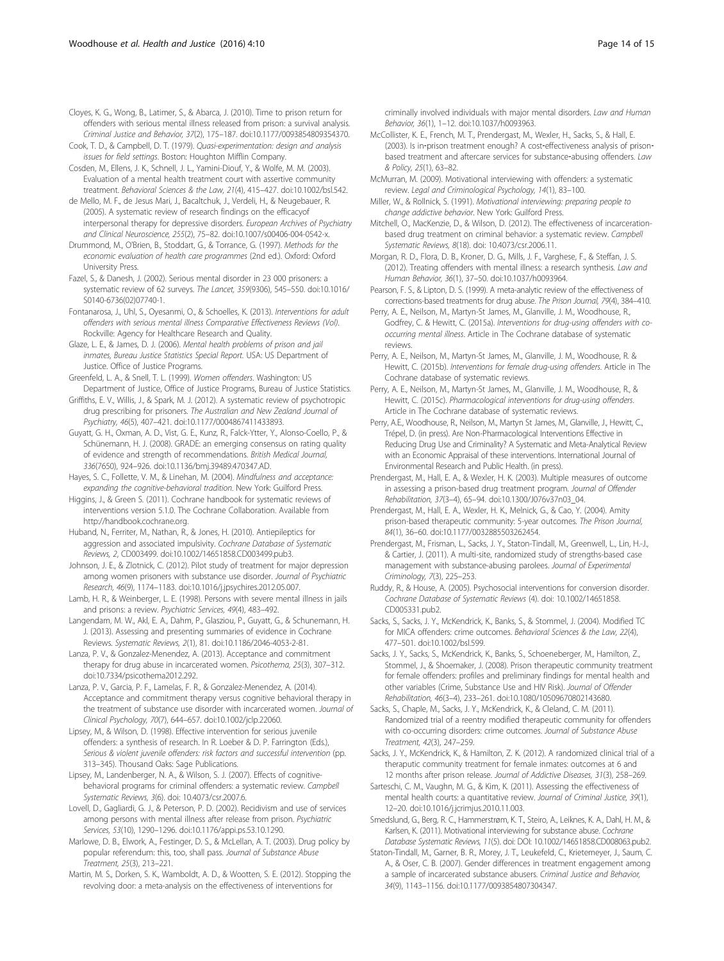<span id="page-13-0"></span>Cloyes, K. G., Wong, B., Latimer, S., & Abarca, J. (2010). Time to prison return for offenders with serious mental illness released from prison: a survival analysis. Criminal Justice and Behavior, 37(2), 175–187. doi:[10.1177/0093854809354370.](http://dx.doi.org/10.1177/0093854809354370)

Cook, T. D., & Campbell, D. T. (1979). Quasi-experimentation: design and analysis issues for field settings. Boston: Houghton Mifflin Company.

Cosden, M., Ellens, J. K., Schnell, J. L., Yamini-Diouf, Y., & Wolfe, M. M. (2003). Evaluation of a mental health treatment court with assertive community treatment. Behavioral Sciences & the Law, 21(4), 415–427. doi[:10.1002/bsl.542.](http://dx.doi.org/10.1002/bsl.542)

de Mello, M. F., de Jesus Mari, J., Bacaltchuk, J., Verdeli, H., & Neugebauer, R. (2005). A systematic review of research findings on the efficacyof interpersonal therapy for depressive disorders. European Archives of Psychiatry and Clinical Neuroscience, 255(2), 75–82. doi[:10.1007/s00406-004-0542-x](http://dx.doi.org/10.1007/s00406-004-0542-x).

Drummond, M., O'Brien, B., Stoddart, G., & Torrance, G. (1997). Methods for the economic evaluation of health care programmes (2nd ed.). Oxford: Oxford University Press.

Fazel, S., & Danesh, J. (2002). Serious mental disorder in 23 000 prisoners: a systematic review of 62 surveys. The Lancet, 359(9306), 545–550. doi[:10.1016/](http://dx.doi.org/10.1016/S0140-6736(02)07740-1) [S0140-6736\(02\)07740-1](http://dx.doi.org/10.1016/S0140-6736(02)07740-1).

Fontanarosa, J., Uhl, S., Oyesanmi, O., & Schoelles, K. (2013). Interventions for adult offenders with serious mental illness Comparative Effectiveness Reviews (Vol). Rockville: Agency for Healthcare Research and Quality.

Glaze, L. E., & James, D. J. (2006). Mental health problems of prison and jail inmates, Bureau Justice Statistics Special Report. USA: US Department of Justice. Office of Justice Programs.

Greenfeld, L. A., & Snell, T. L. (1999). Women offenders. Washington: US Department of Justice, Office of Justice Programs, Bureau of Justice Statistics.

Griffiths, E. V., Willis, J., & Spark, M. J. (2012). A systematic review of psychotropic drug prescribing for prisoners. The Australian and New Zealand Journal of Psychiatry, 46(5), 407–421. doi:[10.1177/0004867411433893](http://dx.doi.org/10.1177/0004867411433893).

Guyatt, G. H., Oxman, A. D., Vist, G. E., Kunz, R., Falck-Ytter, Y., Alonso-Coello, P., & Schünemann, H. J. (2008). GRADE: an emerging consensus on rating quality of evidence and strength of recommendations. British Medical Journal, 336(7650), 924–926. doi:[10.1136/bmj.39489.470347.AD.](http://dx.doi.org/10.1136/bmj.39489.470347.AD)

Hayes, S. C., Follette, V. M., & Linehan, M. (2004). Mindfulness and acceptance: expanding the cognitive-behavioral tradition. New York: Guilford Press.

Higgins, J., & Green S. (2011). Cochrane handbook for systematic reviews of interventions version 5.1.0. The Cochrane Collaboration. Available from <http://handbook.cochrane.org>.

Huband, N., Ferriter, M., Nathan, R., & Jones, H. (2010). Antiepileptics for aggression and associated impulsivity. Cochrane Database of Systematic Reviews, 2, CD003499. doi[:10.1002/14651858.CD003499.pub3](http://dx.doi.org/10.1002/14651858.CD003499.pub3).

Johnson, J. E., & Zlotnick, C. (2012). Pilot study of treatment for major depression among women prisoners with substance use disorder. Journal of Psychiatric Research, 46(9), 1174–1183. doi[:10.1016/j.jpsychires.2012.05.007.](http://dx.doi.org/10.1016/j.jpsychires.2012.05.007)

Lamb, H. R., & Weinberger, L. E. (1998). Persons with severe mental illness in jails and prisons: a review. Psychiatric Services, 49(4), 483–492.

Langendam, M. W., Akl, E. A., Dahm, P., Glasziou, P., Guyatt, G., & Schunemann, H. J. (2013). Assessing and presenting summaries of evidence in Cochrane Reviews. Systematic Reviews, 2(1), 81. doi:[10.1186/2046-4053-2-81](http://dx.doi.org/10.1186/2046-4053-2-81).

Lanza, P. V., & Gonzalez-Menendez, A. (2013). Acceptance and commitment therapy for drug abuse in incarcerated women. Psicothema, 25(3), 307–312. doi[:10.7334/psicothema2012.292](http://dx.doi.org/10.7334/psicothema2012.292).

Lanza, P. V., Garcia, P. F., Lamelas, F. R., & Gonzalez-Menendez, A. (2014). Acceptance and commitment therapy versus cognitive behavioral therapy in the treatment of substance use disorder with incarcerated women. Journal of Clinical Psychology, 70(7), 644–657. doi[:10.1002/jclp.22060.](http://dx.doi.org/10.1002/jclp.22060)

Lipsey, M., & Wilson, D. (1998). Effective intervention for serious juvenile offenders: a synthesis of research. In R. Loeber & D. P. Farrington (Eds.), Serious & violent juvenile offenders: risk factors and successful intervention (pp. 313–345). Thousand Oaks: Sage Publications.

Lipsey, M., Landenberger, N. A., & Wilson, S. J. (2007). Effects of cognitivebehavioral programs for criminal offenders: a systematic review. Campbell Systematic Reviews, 3(6). doi: 10.4073/csr.2007.6.

Lovell, D., Gagliardi, G. J., & Peterson, P. D. (2002). Recidivism and use of services among persons with mental illness after release from prison. Psychiatric Services, 53(10), 1290–1296. doi:[10.1176/appi.ps.53.10.1290.](http://dx.doi.org/10.1176/appi.ps.53.10.1290)

Marlowe, D. B., Elwork, A., Festinger, D. S., & McLellan, A. T. (2003). Drug policy by popular referendum: this, too, shall pass. Journal of Substance Abuse Treatment, 25(3), 213–221.

Martin, M. S., Dorken, S. K., Wamboldt, A. D., & Wootten, S. E. (2012). Stopping the revolving door: a meta-analysis on the effectiveness of interventions for

criminally involved individuals with major mental disorders. Law and Human Behavior, 36(1), 1–12. doi:[10.1037/h0093963.](http://dx.doi.org/10.1037/h0093963)

McCollister, K. E., French, M. T., Prendergast, M., Wexler, H., Sacks, S., & Hall, E. (2003). Is in-prison treatment enough? A cost-effectiveness analysis of prisonbased treatment and aftercare services for substance-abusing offenders. Law & Policy, 25(1), 63–82.

McMurran, M. (2009). Motivational interviewing with offenders: a systematic review. Legal and Criminological Psychology, 14(1), 83–100.

Miller, W., & Rollnick, S. (1991). Motivational interviewing: preparing people to change addictive behavior. New York: Guilford Press.

Mitchell, O., MacKenzie, D., & Wilson, D. (2012). The effectiveness of incarcerationbased drug treatment on criminal behavior: a systematic review. Campbell Systematic Reviews, 8(18). doi: 10.4073/csr.2006.11.

Morgan, R. D., Flora, D. B., Kroner, D. G., Mills, J. F., Varghese, F., & Steffan, J. S. (2012). Treating offenders with mental illness: a research synthesis. Law and Human Behavior, 36(1), 37–50. doi[:10.1037/h0093964.](http://dx.doi.org/10.1037/h0093964)

Pearson, F. S., & Lipton, D. S. (1999). A meta-analytic review of the effectiveness of corrections-based treatments for drug abuse. The Prison Journal, 79(4), 384–410.

Perry, A. E., Neilson, M., Martyn-St James, M., Glanville, J. M., Woodhouse, R., Godfrey, C. & Hewitt, C. (2015a). Interventions for drug-using offenders with cooccurring mental illness. Article in The Cochrane database of systematic reviews.

Perry, A. E., Neilson, M., Martyn-St James, M., Glanville, J. M., Woodhouse, R. & Hewitt, C. (2015b). Interventions for female drug-using offenders. Article in The Cochrane database of systematic reviews.

Perry, A. E., Neilson, M., Martyn-St James, M., Glanville, J. M., Woodhouse, R., & Hewitt, C. (2015c). Pharmacological interventions for drug-using offenders. Article in The Cochrane database of systematic reviews.

Perry, A.E., Woodhouse, R., Neilson, M., Martyn St James, M., Glanville, J., Hewitt, C., Trépel, D. (in press). Are Non-Pharmacological Interventions Effective in Reducing Drug Use and Criminality? A Systematic and Meta-Analytical Review with an Economic Appraisal of these interventions. International Journal of Environmental Research and Public Health. (in press).

Prendergast, M., Hall, E. A., & Wexler, H. K. (2003). Multiple measures of outcome in assessing a prison-based drug treatment program. Journal of Offender Rehabilitation, 37(3–4), 65–94. doi:[10.1300/J076v37n03\\_04](http://dx.doi.org/10.1300/J076v37n03_04).

Prendergast, M., Hall, E. A., Wexler, H. K., Melnick, G., & Cao, Y. (2004). Amity prison-based therapeutic community: 5-year outcomes. The Prison Journal, 84(1), 36–60. doi:[10.1177/0032885503262454](http://dx.doi.org/10.1177/0032885503262454).

Prendergast, M., Frisman, L., Sacks, J. Y., Staton-Tindall, M., Greenwell, L., Lin, H.-J., & Cartier, J. (2011). A multi-site, randomized study of strengths-based case management with substance-abusing parolees. Journal of Experimental Criminology, 7(3), 225–253.

Ruddy, R., & House, A. (2005). Psychosocial interventions for conversion disorder. Cochrane Database of Systematic Reviews (4). doi: 10.1002/14651858. CD005331.pub2.

Sacks, S., Sacks, J. Y., McKendrick, K., Banks, S., & Stommel, J. (2004). Modified TC for MICA offenders: crime outcomes. Behavioral Sciences & the Law, 22(4), 477–501. doi[:10.1002/bsl.599.](http://dx.doi.org/10.1002/bsl.599)

Sacks, J. Y., Sacks, S., McKendrick, K., Banks, S., Schoeneberger, M., Hamilton, Z., Stommel, J., & Shoemaker, J. (2008). Prison therapeutic community treatment for female offenders: profiles and preliminary findings for mental health and other variables (Crime, Substance Use and HIV Risk). Journal of Offender Rehabilitation, 46(3–4), 233–261. doi[:10.1080/10509670802143680.](http://dx.doi.org/10.1080/10509670802143680)

Sacks, S., Chaple, M., Sacks, J. Y., McKendrick, K., & Cleland, C. M. (2011). Randomized trial of a reentry modified therapeutic community for offenders with co-occurring disorders: crime outcomes. Journal of Substance Abuse Treatment, 42(3), 247–259.

Sacks, J. Y., McKendrick, K., & Hamilton, Z. K. (2012). A randomized clinical trial of a theraputic community treatment for female inmates: outcomes at 6 and 12 months after prison release. Journal of Addictive Diseases, 31(3), 258–269.

Sarteschi, C. M., Vaughn, M. G., & Kim, K. (2011). Assessing the effectiveness of mental health courts: a quantitative review. Journal of Criminal Justice, 39(1), 12–20. doi:[10.1016/j.jcrimjus.2010.11.003](http://dx.doi.org/10.1016/j.jcrimjus.2010.11.003).

Smedslund, G., Berg, R. C., Hammerstrøm, K. T., Steiro, A., Leiknes, K. A., Dahl, H. M., & Karlsen, K. (2011). Motivational interviewing for substance abuse. Cochrane Database Systematic Reviews, 11(5). doi: DOI: 10.1002/14651858.CD008063.pub2.

Staton-Tindall, M., Garner, B. R., Morey, J. T., Leukefeld, C., Krietemeyer, J., Saum, C. A., & Oser, C. B. (2007). Gender differences in treatment engagement among a sample of incarcerated substance abusers. Criminal Justice and Behavior, 34(9), 1143–1156. doi[:10.1177/0093854807304347.](http://dx.doi.org/10.1177/0093854807304347)